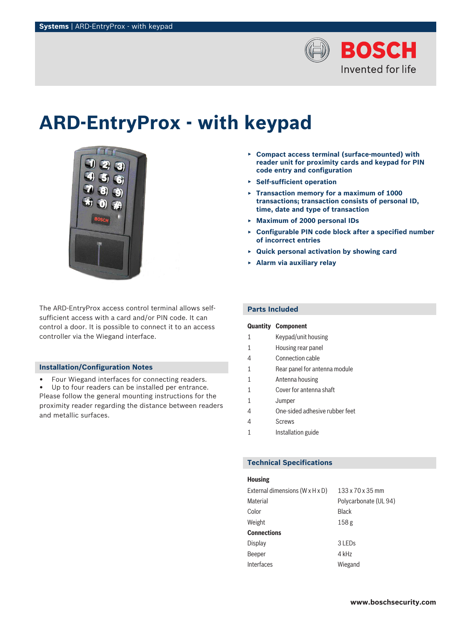

# **ARD-EntryProx - with keypad**



The ARD-EntryProx access control terminal allows selfsufficient access with a card and/or PIN code. It can control a door. It is possible to connect it to an access controller via the Wiegand interface.

#### **Installation/Configuration Notes**

• Four Wiegand interfaces for connecting readers.

Up to four readers can be installed per entrance. Please follow the general mounting instructions for the proximity reader regarding the distance between readers and metallic surfaces.

- ▶ **Compact access terminal (surface-mounted) with reader unit for proximity cards and keypad for PIN code entry and configuration**
- ▶ **Self-sufficient operation**
- ▶ **Transaction memory for a maximum of 1000 transactions; transaction consists of personal ID, time, date and type of transaction**
- ▶ **Maximum of 2000 personal IDs**
- ▶ **Configurable PIN code block after a specified number of incorrect entries**
- ▶ **Quick personal activation by showing card**
- ▶ **Alarm via auxiliary relay**

### **Parts Included**

|   | <b>Quantity Component</b>      |
|---|--------------------------------|
| 1 | Keypad/unit housing            |
| 1 | Housing rear panel             |
| 4 | Connection cable               |
| 1 | Rear panel for antenna module  |
| 1 | Antenna housing                |
| 1 | Cover for antenna shaft        |
| 1 | Jumper                         |
| 4 | One-sided adhesive rubber feet |
|   | Screws                         |

1 **Installation guide** 

#### **Technical Specifications**

#### **Housing**

| 133 x 70 x 35 mm      |
|-----------------------|
| Polycarbonate (UL 94) |
| <b>Black</b>          |
| 158 <sub>g</sub>      |
|                       |
| 3 LEDs                |
| 4 kHz                 |
| Wiegand               |
|                       |